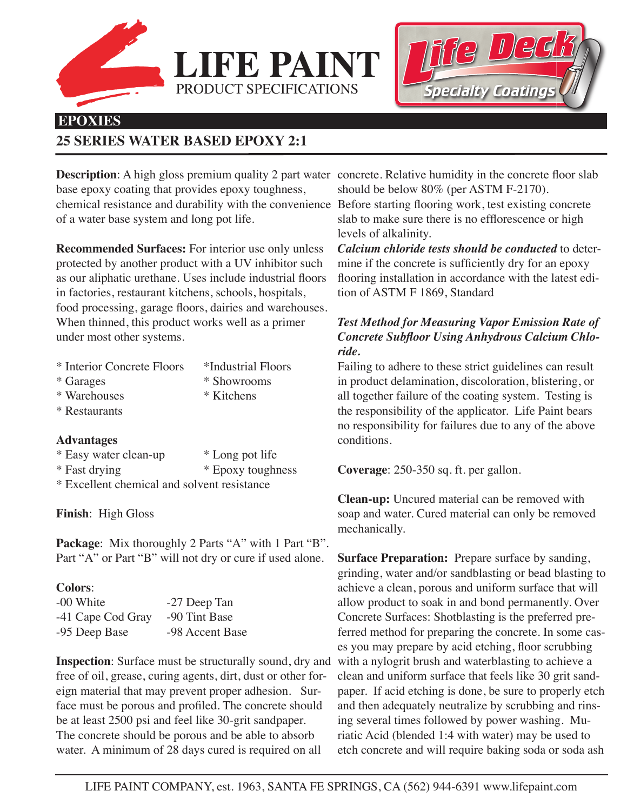



# **EPOXIES**

# **25 SERIES WATER BASED EPOXY 2:1**

**Description**: A high gloss premium quality 2 part water concrete. Relative humidity in the concrete floor slab base epoxy coating that provides epoxy toughness, chemical resistance and durability with the convenience Before starting flooring work, test existing concrete of a water base system and long pot life.

PRODUCT SPECIFICATIONS

**LIFE PAI** 

**Recommended Surfaces:** For interior use only unless protected by another product with a UV inhibitor such as our aliphatic urethane. Uses include industrial floors in factories, restaurant kitchens, schools, hospitals, food processing, garage floors, dairies and warehouses. When thinned, this product works well as a primer under most other systems.

| * Interior Concrete Floors | *Industrial Floors |
|----------------------------|--------------------|
| * Garages                  | * Showrooms        |
| * Warehouses               | * Kitchens         |
| * Restaurants              |                    |

#### **Advantages**

| * Easy water clean-up | * Long pot life   |
|-----------------------|-------------------|
| * Fast drying         | * Epoxy toughness |

\* Excellent chemical and solvent resistance

## **Finish**: High Gloss

Package: Mix thoroughly 2 Parts "A" with 1 Part "B". Part "A" or Part "B" will not dry or cure if used alone.

## **Colors**:

| -00 White         | -27 Deep Tan    |
|-------------------|-----------------|
| -41 Cape Cod Gray | -90 Tint Base   |
| -95 Deep Base     | -98 Accent Base |

**Inspection**: Surface must be structurally sound, dry and free of oil, grease, curing agents, dirt, dust or other foreign material that may prevent proper adhesion. Surface must be porous and profiled. The concrete should be at least 2500 psi and feel like 30-grit sandpaper. The concrete should be porous and be able to absorb water. A minimum of 28 days cured is required on all

should be below 80% (per ASTM F-2170).

slab to make sure there is no efflorescence or high levels of alkalinity.

*Calcium chloride tests should be conducted* to determine if the concrete is sufficiently dry for an epoxy flooring installation in accordance with the latest edition of ASTM F 1869, Standard

## *Test Method for Measuring Vapor Emission Rate of Concrete Subfloor Using Anhydrous Calcium Chloride.*

Failing to adhere to these strict guidelines can result in product delamination, discoloration, blistering, or all together failure of the coating system. Testing is the responsibility of the applicator. Life Paint bears no responsibility for failures due to any of the above conditions.

**Coverage**: 250-350 sq. ft. per gallon.

**Clean-up:** Uncured material can be removed with soap and water. Cured material can only be removed mechanically.

**Surface Preparation:** Prepare surface by sanding, grinding, water and/or sandblasting or bead blasting to achieve a clean, porous and uniform surface that will allow product to soak in and bond permanently. Over Concrete Surfaces: Shotblasting is the preferred preferred method for preparing the concrete. In some cases you may prepare by acid etching, floor scrubbing with a nylogrit brush and waterblasting to achieve a clean and uniform surface that feels like 30 grit sandpaper. If acid etching is done, be sure to properly etch and then adequately neutralize by scrubbing and rinsing several times followed by power washing. Muriatic Acid (blended 1:4 with water) may be used to etch concrete and will require baking soda or soda ash